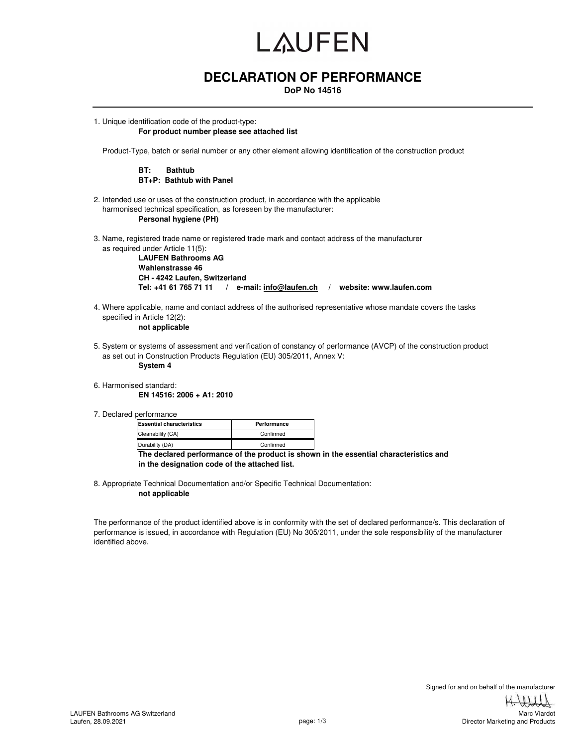# LAUFEN

### **DECLARATION OF PERFORMANCE**

**DoP No 14516**

1. Unique identification code of the product-type: **For product number please see attached list** 

Product-Type, batch or serial number or any other element allowing identification of the construction product

#### **BT: Bathtub BT+P: Bathtub with Panel**

- 2. Intended use or uses of the construction product, in accordance with the applicable harmonised technical specification, as foreseen by the manufacturer: **Personal hygiene (PH)**
- 3. Name, registered trade name or registered trade mark and contact address of the manufacturer as required under Article 11(5):

**LAUFEN Bathrooms AG Wahlenstrasse 46 CH - 4242 Laufen, Switzerland Tel: +41 61 765 71 11 / e-mail: info@laufen.ch / website: www.laufen.com**

4. Where applicable, name and contact address of the authorised representative whose mandate covers the tasks specified in Article 12(2):

**not applicable**

5. System or systems of assessment and verification of constancy of performance (AVCP) of the construction product as set out in Construction Products Regulation (EU) 305/2011, Annex V:

**System 4**

6. Harmonised standard:

**EN 14516: 2006 + A1: 2010**

7. Declared performance

| <b>Essential characteristics</b> | Performance |  |  |  |  |
|----------------------------------|-------------|--|--|--|--|
| Cleanability (CA)                | Confirmed   |  |  |  |  |
| Durability (DA)                  | Confirmed   |  |  |  |  |
|                                  | .           |  |  |  |  |

**The declared performance of the product is shown in the essential characteristics and in the designation code of the attached list.**

8. Appropriate Technical Documentation and/or Specific Technical Documentation: **not applicable**

The performance of the product identified above is in conformity with the set of declared performance/s. This declaration of performance is issued, in accordance with Regulation (EU) No 305/2011, under the sole responsibility of the manufacturer identified above.

> Signed for and on behalf of the manufacturer Marc Viardot

> > Director Marketing and Products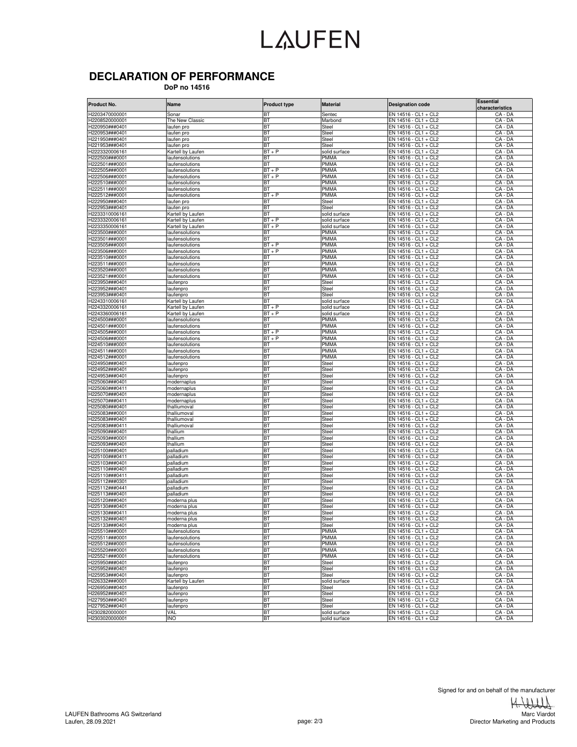### LAUFEN

### **DECLARATION OF PERFORMANCE**

 **DoP no 14516**

| Product No.                      | Name                              | <b>Product type</b> | <b>Material</b>            | <b>Designation code</b>                      | <b>Essential</b><br>characteristics |
|----------------------------------|-----------------------------------|---------------------|----------------------------|----------------------------------------------|-------------------------------------|
| H2203470000001                   | Sonar                             | ВΤ                  | Sentec                     | $EN$ 14516 - CL1 + CL2                       | CA - DA                             |
| H2208520000001                   | The New Classic                   | <b>BT</b>           | Marbond                    | EN 14516 - CL1 + CL2                         | CA - DA                             |
| H220950###0401                   | laufen pro                        | <b>BT</b>           | Steel                      | EN 14516 - CL1 + CL2                         | CA - DA                             |
| H220953###0401                   | laufen pro                        | ВT                  | Steel                      | EN 14516 - CL1 + CL2                         | CA - DA                             |
| H221950###0401                   | aufen pro                         | <b>BT</b>           | Steel                      | EN 14516 - CL1 + CL2                         | CA - DA                             |
| H221953###0401                   | aufen pro                         | ВT                  | Steel                      | EN 14516 - CL1 + CL2                         | CA - DA                             |
| H2223320006161                   | Kartell by Laufen                 | $BT + P$            | solid surface              | EN 14516 - CL1 + CL2                         | CA - DA                             |
| H222500###0001                   | aufensolutions                    | BT                  | <b>PMMA</b>                | EN 14516 - CL1 + CL2                         | CA - DA                             |
| H222501###0001                   | laufensolutions                   | ВT                  | <b>PMMA</b>                | EN 14516 - CL1 + CL2                         | CA - DA                             |
| H222505###0001                   | aufensolutions                    | $BT + P$            | PMMA                       | EN 14516 - CL1 + CL2                         | CA - DA                             |
| H222506###0001                   | aufensolutions                    | $BT + P$            | PMMA                       | EN 14516 - CL1 + CL2                         | CA - DA                             |
| H222510###0001                   | laufensolutions                   | <b>BT</b>           | <b>PMMA</b>                | EN 14516 - CL1 + CL2                         | CA - DA                             |
| H222511###0001                   | laufensolutions                   | BT                  | <b>PMMA</b>                | EN 14516 - CL1 + CL2                         | CA - DA                             |
| H222512###0001                   | laufensolutions                   | $BT + P$            | <b>PMMA</b>                | EN 14516 - CL1 + CL2                         | CA - DA<br>$CA - DA$                |
| H222950###0401<br>H222953###0401 | aufen pro<br>aufen pro            | ВT<br>ВT            | Steel<br>Steel             | EN 14516 - CL1 + CL2                         | CA - DA                             |
| H2233310006161                   | Kartell by Laufen                 | <b>BT</b>           | solid surface              | EN 14516 - CL1 + CL2<br>EN 14516 - CL1 + CL2 | CA - DA                             |
| H2233320006161                   | <b>Kartell by Laufen</b>          | $BT + P$            | solid surface              | EN 14516 - CL1 + CL2                         | CA - DA                             |
| H2233350006161                   | Kartell by Laufen                 | $BT + P$            | solid surface              | EN 14516 - CL1 + CL2                         | CA - DA                             |
| H223500###0001                   | aufensolutions                    | ВT                  | <b>PMMA</b>                | EN 14516 - CL1 + CL2                         | CA - DA                             |
| H223501###0001                   | aufensolutions                    | ВT                  | <b>PMMA</b>                | EN 14516 - CL1 + CL2                         | CA - DA                             |
| H223505###0001                   | laufensolutions                   | $BT + P$            | <b>PMMA</b>                | EN 14516 - CL1 + CL2                         | CA - DA                             |
| H223506###0001                   | aufensolutions                    | $BT + P$            | <b>PMMA</b>                | EN 14516 - CL1 + CL2                         | CA - DA                             |
| H223510###0001                   | laufensolutions                   | <b>BT</b>           | <b>PMMA</b>                | EN 14516 - CL1 + CL2                         | CA - DA                             |
| H223511###0001                   | aufensolutions                    | ВT                  | <b>PMMA</b>                | EN 14516 - CL1 + CL2                         | CA - DA                             |
| H223520###0001                   | aufensolutions                    | ВT                  | <b>PMMA</b>                | EN 14516 - CL1 + CL2                         | CA - DA                             |
| H223521###0001                   | laufensolutions                   | BT                  | <b>PMMA</b>                | EN 14516 - CL1 + CL2                         | CA - DA                             |
| H223950###0401                   | aufenpro                          | <b>BT</b>           | Steel                      | EN 14516 - CL1 + CL2                         | CA - DA                             |
| H223952###0401                   | laufenpro                         | ВT                  | Steel                      | EN 14516 - CL1 + CL2                         | CA - DA                             |
| H223953###0401                   | aufenpro                          | ВT                  | Steel                      | EN 14516 - CL1 + CL2                         | CA - DA                             |
| H2243310006161                   | Kartell by Laufen                 | ВT                  | solid surface              | EN 14516 - CL1 + CL2                         | CA - DA                             |
| H2243320006161                   | Kartell by Laufen                 | $BT + P$            | solid surface              | EN 14516 - CL1 + CL2                         | CA - DA                             |
| H2243360006161                   | Kartell by Laufen                 | $BT + P$            | solid surface              | EN 14516 - CL1 + CL2                         | CA - DA                             |
| H224500###0001                   | laufensolutions                   | <b>BT</b>           | <b>PMMA</b>                | EN 14516 - CL1 + CL2                         | CA - DA                             |
| H224501###0001                   | aufensolutions                    | BT                  | PMMA                       | EN 14516 - CL1 + CL2                         | $CA - DA$                           |
| H224505###0001                   | aufensolutions                    | $BT + P$            | <b>PMMA</b>                | EN 14516 - CL1 + CL2                         | CA - DA                             |
| H224506###0001                   | laufensolutions                   | $BT + P$            | <b>PMMA</b>                | EN 14516 - CL1 + CL2<br>EN 14516 - CL1 + CL2 | CA - DA                             |
| H224510###0001<br>H224511###0001 | aufensolutions<br>laufensolutions | BT<br>ВT            | <b>PMMA</b><br><b>PMMA</b> | EN 14516 - CL1 + CL2                         | CA - DA<br>CA - DA                  |
| H224512###0001                   | aufensolutions                    | BT                  | PMMA                       | EN 14516 - CL1 + CL2                         | CA - DA                             |
| H224950###0401                   | aufenpro                          | ВT                  | Steel                      | EN 14516 - CL1 + CL2                         | CA - DA                             |
| H224952###0401                   | laufenpro                         | BT                  | Steel                      | EN 14516 - CL1 + CL2                         | CA - DA                             |
| H224953###0401                   | laufenpro                         | BT                  | Steel                      | EN 14516 - CL1 + CL2                         | CA - DA                             |
| H225060###0401                   | modernaplus                       | ВT                  | Steel                      | EN 14516 - CL1 + CL2                         | CA - DA                             |
| H225060###0411                   | modernaplus                       | <b>BT</b>           | Steel                      | EN 14516 - CL1 + CL2                         | CA - DA                             |
| H225070###0401                   | modernaplus                       | ВT                  | Steel                      | EN 14516 - CL1 + CL2                         | CA - DA                             |
| H225070###0411                   | modernaplus                       | BT                  | Steel                      | EN 14516 - CL1 + CL2                         | CA - DA                             |
| H225080###0401                   | thalliumoval                      | BT                  | Steel                      | EN 14516 - CL1 + CL2                         | CA - DA                             |
| H225083###0001                   | thalliumoval                      | ВT                  | Steel                      | EN 14516 - CL1 + CL2                         | CA - DA                             |
| H225083###0401                   | thalliumoval                      | BT                  | Steel                      | EN 14516 - CL1 + CL2                         | CA - DA                             |
| H225083###0411                   | thalliumoval                      | ВT                  | Steel                      | EN 14516 - CL1 + CL2                         | CA - DA                             |
| H225090###0401                   | thallium                          | BT                  | Steel                      | EN 14516 - CL1 + CL2                         | CA - DA                             |
| H225093###0001                   | thallium                          | BT                  | Steel                      | EN 14516 - CL1 + CL2                         | CA - DA                             |
| H225093###0401                   | thallium                          | ВT                  | Steel                      | EN 14516 - CL1 + CL2                         | CA - DA                             |
| H225100###0401                   | palladium                         | <b>BT</b><br>ВT     | Steel<br>Steel             | EN 14516 - CL1 + CL2                         | CA - DA<br>CA - DA                  |
| H225100###0411<br>H225103###0401 | palladium<br>palladium            | BT                  | Steel                      | EN 14516 - CL1 + CL2<br>EN 14516 - CL1 + CL2 | CA - DA                             |
| H225110###0401                   | palladium                         | BT                  | Steel                      | EN 14516 - CL1 + CL2                         | CA - DA                             |
| H225110###0411                   | palladium                         | ВT                  | Steel                      | EN 14516 - CL1 + CL2                         | CA - DA                             |
| H225112###0301                   | palladium                         | BT                  | Steel                      | EN 14516 - CL1 + CL2                         | CA - DA                             |
| H225112###0441                   | palladium                         | ВT                  | Steel                      | EN 14516 - CL1 + CL2                         | CA - DA                             |
| H225113###0401                   | palladium                         | <b>BT</b>           | Steel                      | EN 14516 - CL1 + CL2                         | CA - DA                             |
| H225120###0401                   | moderna plus                      | BT                  | Steel                      | EN 14516 - CL1 + CL2                         | CA - DA                             |
| H225130###0401                   | moderna plus                      | ВT                  | Steel                      | EN 14516 - CL1 + CL2                         | CA - DA                             |
| H225130###0411                   | moderna plus                      | ВT                  | Steel                      | EN 14516 - CL1 + CL2                         | CA - DA                             |
| H225132###0401                   | moderna plus                      | ВT                  | Steel                      | EN 14516 - CL1 + CL2                         | CA - DA                             |
| H225133###0401                   | moderna plus                      | BT                  | <b>Steel</b>               | EN 14516 - CL1 + CL2                         | CA - DA                             |
| H225510###0001                   | laufensolutions                   | BT                  | <b>PMMA</b>                | EN 14516 - CL1 + CL2                         | CA - DA                             |
| H225511###0001                   | laufensolutions                   | ВT                  | <b>PMMA</b>                | EN 14516 - CL1 + CL2                         | CA - DA                             |
| H225512###0001                   | aufensolutions                    | BT                  | <b>PMMA</b>                | $EN$ 14516 - CL1 + CL2                       | CA - DA                             |
| H225520###0001                   | laufensolutions                   | ВT                  | <b>PMMA</b>                | EN 14516 - CL1 + CL2                         | CA - DA                             |
| H225521###0001                   | laufensolutions                   | <b>BT</b>           | PMMA                       | EN 14516 - CL1 + CL2                         | CA - DA                             |
| H225950###0401<br>H225952###0401 | laufenpro<br>laufenpro            | <b>BT</b><br>ВT     | Steel                      | EN 14516 - CL1 + CL2                         | CA - DA<br>$CA - DA$                |
| H225953###0401                   | laufenpro                         | <b>BT</b>           | Steel<br>Steel             | EN 14516 - CL1 + CL2                         | $CA - DA$                           |
| H226332###0001                   | Kartell by Laufen                 | ВT                  | solid surface              | EN 14516 - CL1 + CL2<br>EN 14516 - CL1 + CL2 | CA - DA                             |
| H226950###0401                   | laufenpro                         | <b>BT</b>           | Steel                      | EN 14516 - CL1 + CL2                         | CA - DA                             |
| H226952###0401                   | laufenpro                         | <b>BT</b>           | Steel                      | EN 14516 - CL1 + CL2                         | CA - DA                             |
| H227950###0401                   | laufenpro                         | ВT                  | Steel                      | EN 14516 - CL1 + CL2                         | CA - DA                             |
| H227952###0401                   | laufenpro                         | <b>BT</b>           | Steel                      | EN 14516 - CL1 + CL2                         | CA - DA                             |
| H2302820000001                   | VAL                               | ВT                  | solid surface              | EN 14516 - CL1 + CL2                         | CA - DA                             |
| H2303020000001                   | <b>INO</b>                        | <b>BT</b>           | solid surface              | EN 14516 - CL1 + CL2                         | CA - DA                             |